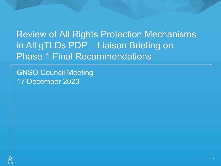Review of All Rights Protection Mechanisms in All gTLDs PDP – Liaison Briefing on Phase 1 Final Recommendations

GNSO Council Meeting 17 December 2020

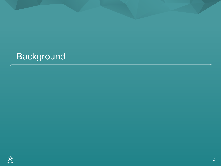# **Background**

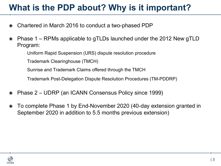# **What is the PDP about? Why is it important?**

- ◉ Chartered in March 2016 to conduct a two-phased PDP
- ◉ Phase 1 RPMs applicable to gTLDs launched under the 2012 New gTLD Program:

Uniform Rapid Suspension (URS) dispute resolution procedure

Trademark Clearinghouse (TMCH)

Sunrise and Trademark Claims offered through the TMCH

Trademark Post-Delegation Dispute Resolution Procedures (TM-PDDRP)

- ◉ Phase 2 UDRP (an ICANN Consensus Policy since 1999)
- ◉ To complete Phase 1 by End-November 2020 (40-day extension granted in September 2020 in addition to 5.5 months previous extension)

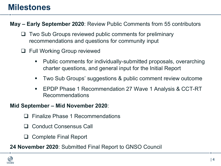### **Milestones**

**May – Early September 2020**: Review Public Comments from 55 contributors

- $\Box$  Two Sub Groups reviewed public comments for preliminary recommendations and questions for community input
- $\Box$  Full Working Group reviewed
	- § Public comments for individually-submitted proposals, overarching charter questions, and general input for the Initial Report
	- § Two Sub Groups' suggestions & public comment review outcome
	- EPDP Phase 1 Recommendation 27 Wave 1 Analysis & CCT-RT Recommendations

### **Mid September – Mid November 2020**:

- Finalize Phase 1 Recommendations
- **Conduct Consensus Call**
- $\Box$  Complete Final Report
- **24 November 2020**: Submitted Final Report to GNSO Council

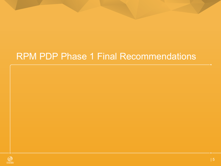# RPM PDP Phase 1 Final Recommendations

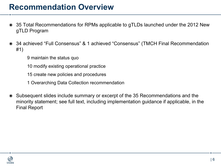### **Recommendation Overview**

- ◉ 35 Total Recommendations for RPMs applicable to gTLDs launched under the 2012 New gTLD Program
- ◉ 34 achieved "Full Consensus" & 1 achieved "Consensus" (TMCH Final Recommendation #1)
	- 9 maintain the status quo
	- 10 modify existing operational practice
	- 15 create new policies and procedures
	- 1 Overarching Data Collection recommendation
- ◉ Subsequent slides include summary or excerpt of the 35 Recommendations and the minority statement; see full text, including implementation guidance if applicable, in the Final Report

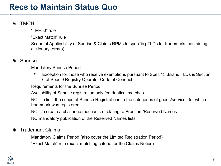## **Recs to Maintain Status Quo**

### ◉ TMCH:

"TM+50" rule

"Exact Match" rule

Scope of Applicability of Sunrise & Claims RPMs to specific gTLDs for trademarks containing dictionary term(s)

### ◉ Sunrise:

Mandatory Sunrise Period

• Exception for those who receive exemptions pursuant to Spec 13 .Brand TLDs & Section 6 of Spec 9 Registry Operator Code of Conduct

Requirements for the Sunrise Period

Availability of Sunrise registration only for identical matches

NOT to limit the scope of Sunrise Registrations to the categories of goods/services for which trademark was registered

NOT to create a challenge mechanism relating to Premium/Reserved Names

NO mandatory publication of the Reserved Names lists

### ◉ Trademark Claims

Mandatory Claims Period (also cover the Limited Registration Period) "Exact Match" rule (exact matching criteria for the Claims Notice)

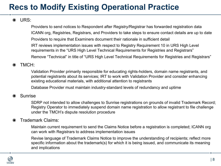## **Recs to Modify Existing Operational Practice**

### ◉ URS:

Providers to send notices to Respondent after Registry/Registrar has forwarded registration data ICANN org, Registries, Registrars, and Providers to take steps to ensure contact details are up to date Providers to require that Examiners document their rationale in sufficient detail IRT reviews implementation issues with respect to Registry Requirement 10 in URS High Level requirements in the "URS High Level Technical Requirements for Registries and Registrars"

Remove "Technical" in title of "URS High Level Technical Requirements for Registries and Registrars"

### ◉ TMCH:

Validation Provider primarily responsible for educating rights-holders, domain name registrants, and potential registrants about its services; IRT to work with Validation Provider and consider enhancing existing educational materials, with additional attention to registrants

Database Provider must maintain industry-standard levels of redundancy and uptime

#### ◉ Sunrise

SDRP not intended to allow challenges to Sunrise registrations on grounds of invalid Trademark Record; Registry Operator to immediately suspend domain name registration to allow registrant to file challenge under the TMCH's dispute resolution procedure

#### ◉ Trademark Claims:

Maintain current requirement to send the Claims Notice before a registration is completed; ICANN org can work with Registrars to address implementation issues

Revise language of Trademark Claims Notice to improve the understanding of recipients; reflect more specific information about the trademark(s) for which it is being issued, and communicate its meaning and implications

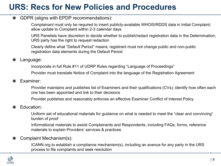## **URS: Recs for New Policies and Procedures**

#### ◉ GDPR (aligns with EPDP recommendations):

Complainant must only be required to insert publicly-available WHOIS/RDDS data in Initial Complaint; allow update to Complaint within 2-3 calendar days

URS Panelists have discretion to decide whether to publish/redact registration data in the Determination; URS party has the right to request redaction

Clearly define what "Default Period" means; registrant must not change public and non-public registration data elements during the Default Period

◉ Language:

Incorporate in full Rule #11 of UDRP Rules regarding "Language of Proceedings"

Provider must translate Notice of Complaint into the language of the Registration Agreement

◉ Examiner:

Provider maintains and publishes list of Examiners and their qualifications (CVs); identify how often each one has been appointed and link to their decisions

Provider publishes and reasonably enforces an effective Examiner Conflict of Interest Policy

#### ◉ Education:

Uniform set of educational materials for guidance on what is needed to meet the "clear and convincing" burden of proof

Informational materials to assist Complainants and Respondents, including FAQs, forms, reference materials to explain Providers' services & practices

#### ◉ Complaint Mechanism(s):

ICANN org to establish a compliance mechanism(s), including an avenue for any party in the URS process to file complaints and seek resolution

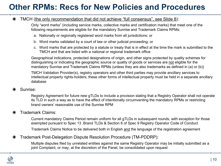## **Other RPMs: Recs for New Policies and Procedures**

#### ◉ TMCH (the only recommendation that did not achieve "full consensus", see Slide 8):

Only "word marks" (including service marks, collective marks and certification marks) that meet one of the following requirements are eligible for the mandatory Sunrise and Trademark Claims RPMs:

- a. Nationally or regionally registered word marks from all jurisdictions; or
- b. Word marks validated by a court of law or other judicial proceeding; or
- c. Word marks that are protected by a statute or treaty that is in effect at the time the mark is submitted to the TMCH and that are listed with a national or regional trademark office

Geographical indications, protected designations of origin, and other signs protected by quality schemes for distinguishing or indicating the geographic source or quality of goods or services are not eligible for the mandatory Sunrise and Trademark Claims RPMs (unless they are also trademarks as defined in (a) or (b))

TMCH Validation Provider(s), registry operators and other third parties may provide ancillary services to intellectual property rights-holders; these other forms of intellectual property must be held in a separate ancillary database

#### ◉ Sunrise:

Registry Agreement for future new gTLDs to include a provision stating that a Registry Operator shall not operate its TLD in such a way as to have the effect of intentionally circumventing the mandatory RPMs or restricting brand owners' reasonable use of the Sunrise RPM

#### ◉ Trademark Claims:

Current mandatory Claims Period remain uniform for all gTLDs in subsequent rounds, with exception for those exempted pursuant to Spec 13 .Brand TLDs & Section 6 of Spec 9 Registry Operator Code of Conduct

Trademark Claims Notice to be delivered both in English and the language of the registration agreement

#### ◉ Trademark Post-Delegation Dispute Resolution Procedure (TM-PDDRP):

Multiple disputes filed by unrelated entities against the same Registry Operator may be initially submitted as a joint Complaint, or may, at the discretion of the Panel, be consolidated upon request

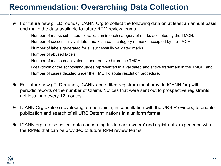## **Recommendation: Overarching Data Collection**

◉ For future new gTLD rounds, ICANN Org to collect the following data on at least an annual basis and make the data available to future RPM review teams:

Number of marks submitted for validation in each category of marks accepted by the TMCH;

Number of successfully validated marks in each category of marks accepted by the TMCH;

Number of labels generated for all successfully validated marks;

Number of abused labels;

Number of marks deactivated in and removed from the TMCH;

Breakdown of the scripts/languages represented in a validated and active trademark in the TMCH; and Number of cases decided under the TMCH dispute resolution procedure.

- ◉ For future new gTLD rounds, ICANN-accredited registrars must provide ICANN Org with periodic reports of the number of Claims Notices that were sent out to prospective registrants, not less than every 12 months
- ◉ ICANN Org explore developing a mechanism, in consultation with the URS Providers, to enable publication and search of all URS Determinations in a uniform format
- ◉ ICANN org to also collect data concerning trademark owners' and registrants' experience with the RPMs that can be provided to future RPM review teams

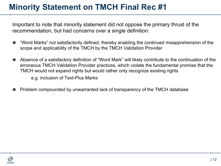## **Minority Statement on TMCH Final Rec #1**

Important to note that minority statement did not oppose the primary thrust of the recommendation, but had concerns over a single definition:

- ◉ "Word Marks" not satisfactorily defined, thereby enabling the continued misapprehension of the scope and applicability of the TMCH by the TMCH Validation Provider
- ◉ Absence of a satisfactory definition of "Word Mark" will likely contribute to the continuation of the erroneous TMCH Validation Provider practices, which violate the fundamental promise that the TMCH would not expand rights but would rather only recognize existing rights e.g. inclusion of Text-Plus Marks
- ◉ Problem compounded by unwarranted lack of transparency of the TMCH database

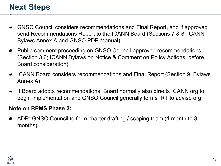## **Next Steps**

- ◉ GNSO Council considers recommendations and Final Report, and if approved send Recommendations Report to the ICANN Board (Sections 7 & 8, ICANN Bylaws Annex A and GNSO PDP Manual)
- ◉ Public comment proceeding on GNSO Council-approved recommendations (Section 3.6; ICANN Bylaws on Notice & Comment on Policy Actions, before Board consideration)
- ◉ ICANN Board considers recommendations and Final Report (Section 9, Bylaws Annex A)
- ◉ If Board adopts recommendations, Board normally also directs ICANN org to begin implementation and GNSO Council generally forms IRT to advise org

### **Note on RPMS Phase 2:**

◉ ADR: GNSO Council to form charter drafting / scoping team (1 month to 3 months)